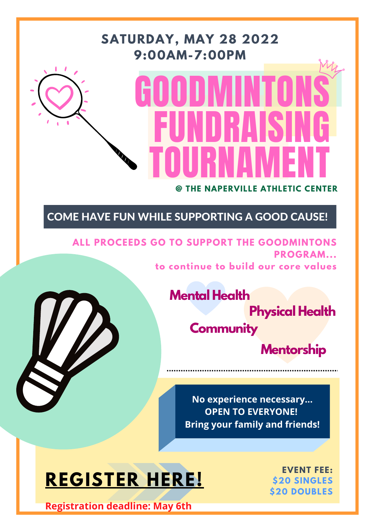# GOODMINTONS FUNDRAISING TOURNAMENT

#### **@ THE NAPERVILLE ATHLETIC CENTER**

#### **SATURDAY, MAY 28 2022 9:00AM-7:00PM**



**ALL PROCEEDS GO TO SUPPORT THE GOODMINTONS PROGRAM... to continue to build our core values**



**EVENT FEE: \$20 SINGLES \$20 DOUBLES**

COME HAVE FUN WHILE SUPPORTING A GOOD CAUSE!

### **Mental Health Physical Health Community Mentorship**

### **[REGISTER](https://forms.gle/qU6vzFdYXTSdwtpXA) [HERE!](https://forms.gle/qU6vzFdYXTSdwtpXA)**

**No experience necessary... OPEN TO EVERYONE! Bring your family and friends!**

**Registration deadline: May 6th**